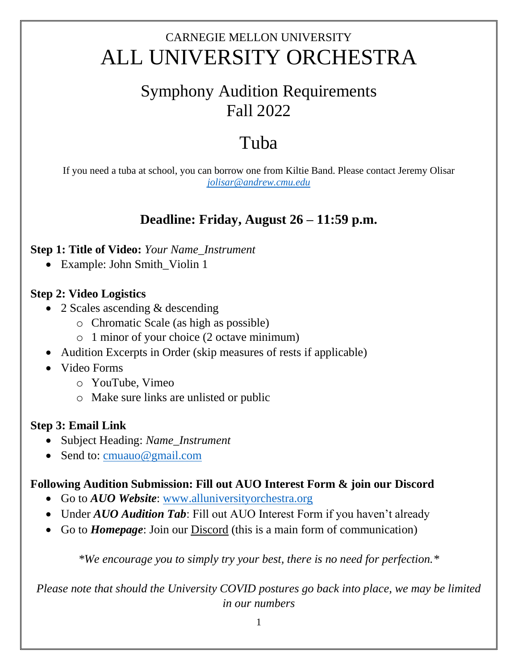## CARNEGIE MELLON UNIVERSITY ALL UNIVERSITY ORCHESTRA

## Symphony Audition Requirements Fall 2022

# Tuba

If you need a tuba at school, you can borrow one from Kiltie Band. Please contact Jeremy Olisar *[jolisar@andrew.cmu.edu](mailto:jolisar@andrew.cmu.edu)*

### **Deadline: Friday, August 26 – 11:59 p.m.**

#### **Step 1: Title of Video:** *Your Name\_Instrument*

• Example: John Smith\_Violin 1

#### **Step 2: Video Logistics**

- 2 Scales ascending & descending
	- o Chromatic Scale (as high as possible)
	- o 1 minor of your choice (2 octave minimum)
- Audition Excerpts in Order (skip measures of rests if applicable)
- Video Forms
	- o YouTube, Vimeo
	- o Make sure links are unlisted or public

#### **Step 3: Email Link**

- Subject Heading: *Name\_Instrument*
- Send to: [cmuauo@gmail.com](mailto:cmuauo@gmail.com)

#### **Following Audition Submission: Fill out AUO Interest Form & join our Discord**

- Go to *AUO Website*: [www.alluniversityorchestra.org](http://www.alluniversityorchestra.org/)
- Under *AUO Audition Tab*: Fill out AUO Interest Form if you haven't already
- Go to *Homepage*: Join our Discord (this is a main form of communication)

*\*We encourage you to simply try your best, there is no need for perfection.\**

*Please note that should the University COVID postures go back into place, we may be limited in our numbers*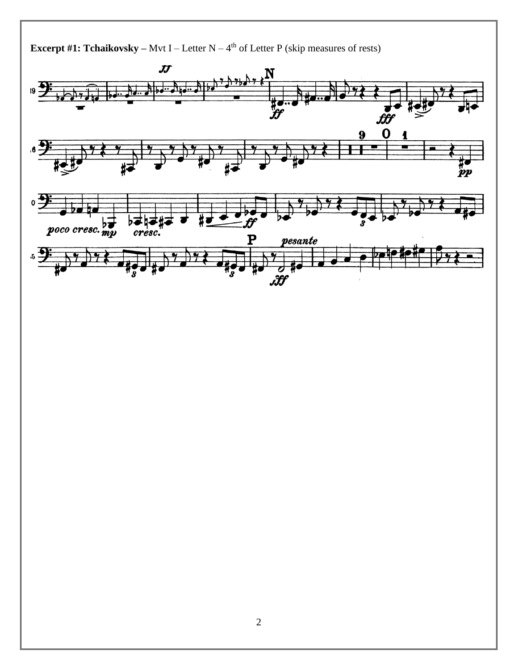**Excerpt #1: Tchaikovsky** – Mvt I – Letter  $N - 4<sup>th</sup>$  of Letter P (skip measures of rests)